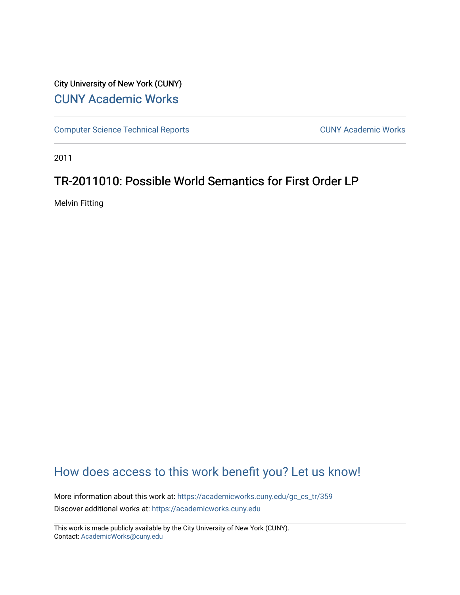## City University of New York (CUNY) [CUNY Academic Works](https://academicworks.cuny.edu/)

[Computer Science Technical Reports](https://academicworks.cuny.edu/gc_cs_tr) **CUNY Academic Works** CUNY Academic Works

2011

## TR-2011010: Possible World Semantics for First Order LP

Melvin Fitting

# [How does access to this work benefit you? Let us know!](http://ols.cuny.edu/academicworks/?ref=https://academicworks.cuny.edu/gc_cs_tr/359)

More information about this work at: https://academicworks.cuny.edu/gc\_cs\_tr/359 Discover additional works at: [https://academicworks.cuny.edu](https://academicworks.cuny.edu/?)

This work is made publicly available by the City University of New York (CUNY). Contact: [AcademicWorks@cuny.edu](mailto:AcademicWorks@cuny.edu)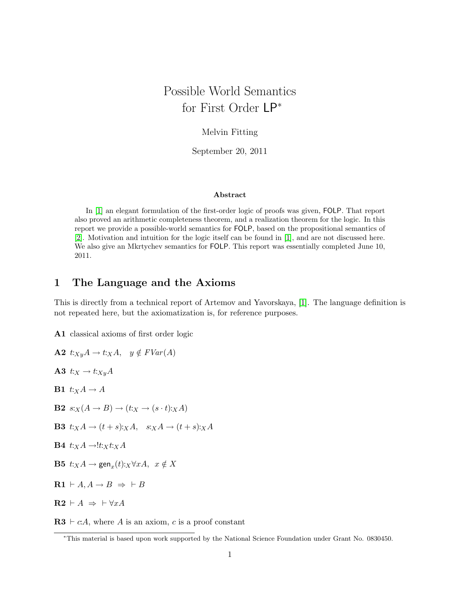# Possible World Semantics for First Order LP<sup>∗</sup>

#### Melvin Fitting

September 20, 2011

#### Abstract

In [\[1\]](#page-11-0) an elegant formulation of the first-order logic of proofs was given, FOLP. That report also proved an arithmetic completeness theorem, and a realization theorem for the logic. In this report we provide a possible-world semantics for FOLP, based on the propositional semantics of [\[2\]](#page-11-1). Motivation and intuition for the logic itself can be found in [\[1\]](#page-11-0), and are not discussed here. We also give an Mkrtychev semantics for FOLP. This report was essentially completed June 10, 2011.

### <span id="page-1-0"></span>1 The Language and the Axioms

This is directly from a technical report of Artemov and Yavorskaya, [\[1\]](#page-11-0). The language definition is not repeated here, but the axiomatization is, for reference purposes.

A1 classical axioms of first order logic

A2  $t:x_yA \rightarrow t:xA$ ,  $y \notin FVar(A)$ 

A3  $t:_{X} \rightarrow t:_{Xy} A$ 

**B1**  $t:_{X} A \rightarrow A$ 

**B2**  $s:_{X}(A \rightarrow B) \rightarrow (t:_{X} \rightarrow (s \cdot t):_{X} A)$ 

**B3**  $t: xA \rightarrow (t+s): xA$ ,  $s: xA \rightarrow (t+s): xA$ 

$$
B4 \ t:XA \to !t:Xt:XA
$$

**B5**  $t:_{X}A \rightarrow \text{gen}_{x}(t):_{X}\forall xA, x \notin X$ 

 $\mathbf{R1} \vdash A, A \rightarrow B \Rightarrow \vdash B$ 

 $\mathbf{R2} \vdash A \Rightarrow \vdash \forall x A$ 

 $\mathbf{R3} \vdash c:A$ , where A is an axiom, c is a proof constant

<sup>∗</sup>This material is based upon work supported by the National Science Foundation under Grant No. 0830450.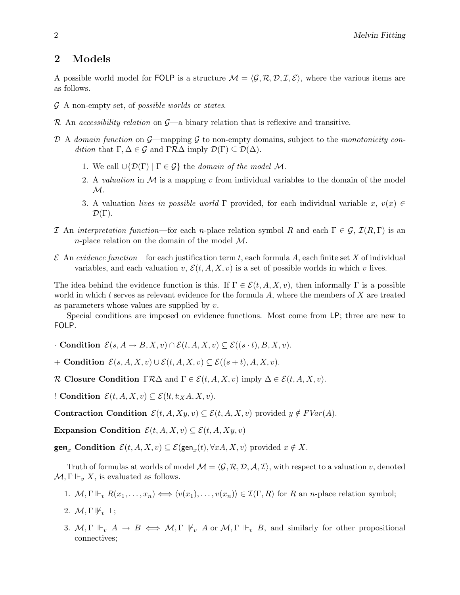### 2 Models

A possible world model for FOLP is a structure  $\mathcal{M} = \langle \mathcal{G}, \mathcal{R}, \mathcal{D}, \mathcal{I}, \mathcal{E} \rangle$ , where the various items are as follows.

- G A non-empty set, of possible worlds or states.
- R An accessibility relation on  $\mathcal{G}$ —a binary relation that is reflexive and transitive.
- D A domain function on  $\mathcal{G}$ —mapping  $\mathcal G$  to non-empty domains, subject to the monotonicity condition that  $\Gamma, \Delta \in \mathcal{G}$  and  $\Gamma \mathcal{R} \Delta$  imply  $\mathcal{D}(\Gamma) \subseteq \mathcal{D}(\Delta)$ .
	- 1. We call  $\cup \{ \mathcal{D}(\Gamma) \mid \Gamma \in \mathcal{G} \}$  the domain of the model M.
	- 2. A valuation in  $M$  is a mapping v from individual variables to the domain of the model  $\mathcal{M}.$
	- 3. A valuation lives in possible world Γ provided, for each individual variable x,  $v(x) \in$  $\mathcal{D}(\Gamma)$ .
- I An interpretation function—for each n-place relation symbol R and each  $\Gamma \in \mathcal{G}$ ,  $\mathcal{I}(R,\Gamma)$  is an n-place relation on the domain of the model  $\mathcal{M}$ .
- $\mathcal E$  An evidence function—for each justification term t, each formula A, each finite set X of individual variables, and each valuation v,  $\mathcal{E}(t, A, X, v)$  is a set of possible worlds in which v lives.

The idea behind the evidence function is this. If  $\Gamma \in \mathcal{E}(t, A, X, v)$ , then informally  $\Gamma$  is a possible world in which t serves as relevant evidence for the formula  $A$ , where the members of  $X$  are treated as parameters whose values are supplied by  $v$ .

Special conditions are imposed on evidence functions. Most come from LP; three are new to FOLP.

 $\cdot$  Condition  $\mathcal{E}(s, A \to B, X, v) \cap \mathcal{E}(t, A, X, v) \subset \mathcal{E}((s \cdot t), B, X, v).$ 

+ Condition  $\mathcal{E}(s, A, X, v) \cup \mathcal{E}(t, A, X, v) \subset \mathcal{E}((s + t), A, X, v).$ 

R Closure Condition  $\Gamma \mathcal{R} \Delta$  and  $\Gamma \in \mathcal{E}(t, A, X, v)$  imply  $\Delta \in \mathcal{E}(t, A, X, v)$ .

! Condition  $\mathcal{E}(t, A, X, v) \subseteq \mathcal{E}(t, t; X, A, X, v)$ .

Contraction Condition  $\mathcal{E}(t, A, Xy, v) \subseteq \mathcal{E}(t, A, X, v)$  provided  $y \notin FVar(A)$ .

Expansion Condition  $\mathcal{E}(t, A, X, v) \subseteq \mathcal{E}(t, A, X, y, v)$ 

**gen**<sub>x</sub> Condition  $\mathcal{E}(t, A, X, v) \subseteq \mathcal{E}(\textsf{gen}_x(t), \forall x A, X, v)$  provided  $x \notin X$ .

Truth of formulas at worlds of model  $\mathcal{M} = \langle \mathcal{G}, \mathcal{R}, \mathcal{D}, \mathcal{A}, \mathcal{I} \rangle$ , with respect to a valuation v, denoted  $\mathcal{M}, \Gamma \Vdash_v X$ , is evaluated as follows.

- 1.  $\mathcal{M}, \Gamma \Vdash_v R(x_1, \ldots, x_n) \Longleftrightarrow \langle v(x_1), \ldots, v(x_n) \rangle \in \mathcal{I}(\Gamma, R)$  for R an n-place relation symbol;
- 2.  $\mathcal{M}, \Gamma \Vdash_{v} \bot;$
- 3. M,  $\Gamma \Vdash_{v} A \to B \iff M, \Gamma \Vdash_{v} A$  or  $M, \Gamma \Vdash_{v} B$ , and similarly for other propositional connectives;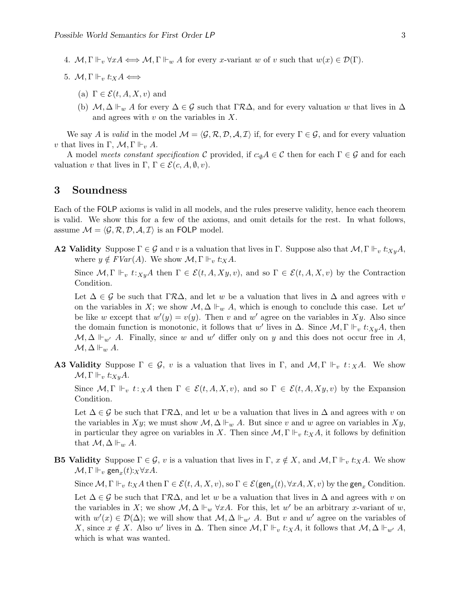- 4.  $\mathcal{M}, \Gamma \Vdash_v \forall x A \Longleftrightarrow \mathcal{M}, \Gamma \Vdash_w A$  for every x-variant w of v such that  $w(x) \in \mathcal{D}(\Gamma)$ .
- 5.  $\mathcal{M}, \Gamma \Vdash_v t: X \rightarrow$ 
	- (a)  $\Gamma \in \mathcal{E}(t, A, X, v)$  and
	- (b)  $M, \Delta \Vdash_w A$  for every  $\Delta \in \mathcal{G}$  such that  $\Gamma \mathcal{R} \Delta$ , and for every valuation w that lives in  $\Delta$ and agrees with  $v$  on the variables in  $X$ .

We say A is valid in the model  $\mathcal{M} = \langle \mathcal{G}, \mathcal{R}, \mathcal{D}, \mathcal{A}, \mathcal{I} \rangle$  if, for every  $\Gamma \in \mathcal{G}$ , and for every valuation v that lives in  $\Gamma$ ,  $\mathcal{M}$ ,  $\Gamma \Vdash_{v} A$ .

A model meets constant specification C provided, if  $c \cdot_{\emptyset} A \in \mathcal{C}$  then for each  $\Gamma \in \mathcal{G}$  and for each valuation v that lives in  $\Gamma, \Gamma \in \mathcal{E}(c, A, \emptyset, v)$ .

#### 3 Soundness

Each of the FOLP axioms is valid in all models, and the rules preserve validity, hence each theorem is valid. We show this for a few of the axioms, and omit details for the rest. In what follows, assume  $\mathcal{M} = \langle \mathcal{G}, \mathcal{R}, \mathcal{D}, \mathcal{A}, \mathcal{I} \rangle$  is an FOLP model.

**A2 Validity** Suppose  $\Gamma \in \mathcal{G}$  and v is a valuation that lives in  $\Gamma$ . Suppose also that  $\mathcal{M}, \Gamma \Vdash_v t :_{X \downarrow u} A$ , where  $y \notin FVar(A)$ . We show  $\mathcal{M}, \Gamma \Vdash_v t: \times A$ .

Since  $\mathcal{M}, \Gamma \Vdash_v t:_{Xy}A$  then  $\Gamma \in \mathcal{E}(t, A, Xy, v)$ , and so  $\Gamma \in \mathcal{E}(t, A, X, v)$  by the Contraction Condition.

Let  $\Delta \in \mathcal{G}$  be such that  $\Gamma \mathcal{R} \Delta$ , and let w be a valuation that lives in  $\Delta$  and agrees with v on the variables in X; we show  $\mathcal{M}, \Delta \Vdash_w A$ , which is enough to conclude this case. Let w' be like w except that  $w'(y) = v(y)$ . Then v and w' agree on the variables in Xy. Also since the domain function is monotonic, it follows that w' lives in  $\Delta$ . Since  $\mathcal{M}, \Gamma \Vdash_v t:_{X_y} A$ , then  $\mathcal{M}, \Delta \Vdash_{w'} A$ . Finally, since w and w' differ only on y and this does not occur free in A,  $\mathcal{M}, \Delta \Vdash_w A$ .

**A3 Validity** Suppose  $\Gamma \in \mathcal{G}$ , v is a valuation that lives in  $\Gamma$ , and  $\mathcal{M}$ ,  $\Gamma \Vdash_{v} t:_{X} A$ . We show  $\mathcal{M}, \Gamma \Vdash_v t:_{X_y} A.$ 

Since  $\mathcal{M}, \Gamma \Vdash_v t: X\mathcal{A}$  then  $\Gamma \in \mathcal{E}(t, A, X, v)$ , and so  $\Gamma \in \mathcal{E}(t, A, X, y, v)$  by the Expansion Condition.

Let  $\Delta \in \mathcal{G}$  be such that  $\Gamma \mathcal{R} \Delta$ , and let w be a valuation that lives in  $\Delta$  and agrees with v on the variables in Xy; we must show  $\mathcal{M}, \Delta \Vdash_w A$ . But since v and w agree on variables in Xy, in particular they agree on variables in X. Then since  $\mathcal{M}, \Gamma \Vdash_v t : X \mathcal{A}$ , it follows by definition that  $\mathcal{M}, \Delta \Vdash_w A$ .

**B5 Validity** Suppose  $\Gamma \in \mathcal{G}$ , v is a valuation that lives in  $\Gamma$ ,  $x \notin X$ , and  $\mathcal{M}$ ,  $\Gamma \Vdash_v t : X \mathcal{A}$ . We show  $\mathcal{M}, \Gamma \Vdash_v \text{gen}_x(t):_X \forall x A.$ 

Since  $\mathcal{M}, \Gamma \Vdash_v t: X\ A$  then  $\Gamma \in \mathcal{E}(t, A, X, v)$ , so  $\Gamma \in \mathcal{E}(\textsf{gen}_x(t), \forall x A, X, v)$  by the  $\textsf{gen}_x$  Condition.

Let  $\Delta \in \mathcal{G}$  be such that  $\Gamma \mathcal{R} \Delta$ , and let w be a valuation that lives in  $\Delta$  and agrees with v on the variables in X; we show  $\mathcal{M}, \Delta \Vdash_w \forall xA$ . For this, let w' be an arbitrary x-variant of w, with  $w'(x) \in \mathcal{D}(\Delta)$ ; we will show that  $\mathcal{M}, \Delta \Vdash_{w'} A$ . But v and w' agree on the variables of X, since  $x \notin X$ . Also w' lives in  $\Delta$ . Then since  $\mathcal{M}, \Gamma \Vdash_v t :_X A$ , it follows that  $\mathcal{M}, \Delta \Vdash_{w'} A$ , which is what was wanted.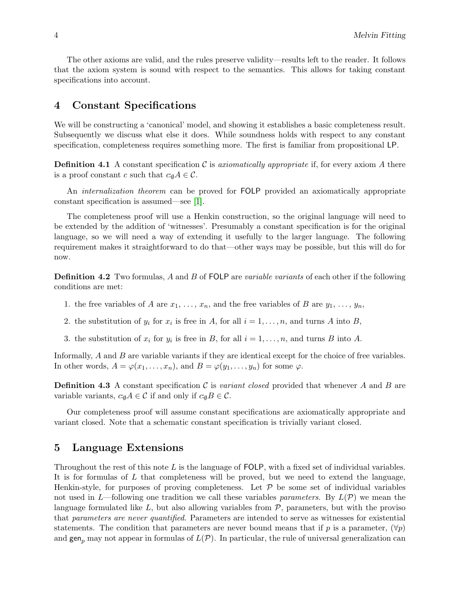The other axioms are valid, and the rules preserve validity—results left to the reader. It follows that the axiom system is sound with respect to the semantics. This allows for taking constant specifications into account.

### 4 Constant Specifications

We will be constructing a 'canonical' model, and showing it establishes a basic completeness result. Subsequently we discuss what else it does. While soundness holds with respect to any constant specification, completeness requires something more. The first is familiar from propositional LP.

**Definition 4.1** A constant specification C is *axiomatically appropriate* if, for every axiom A there is a proof constant c such that  $c_{\emptyset}A \in \mathcal{C}$ .

An *internalization theorem* can be proved for FOLP provided an axiomatically appropriate constant specification is assumed—see [\[1\]](#page-11-0).

The completeness proof will use a Henkin construction, so the original language will need to be extended by the addition of 'witnesses'. Presumably a constant specification is for the original language, so we will need a way of extending it usefully to the larger language. The following requirement makes it straightforward to do that—other ways may be possible, but this will do for now.

**Definition 4.2** Two formulas, A and B of FOLP are variable variants of each other if the following conditions are met:

- 1. the free variables of A are  $x_1, \ldots, x_n$ , and the free variables of B are  $y_1, \ldots, y_n$ ,
- 2. the substitution of  $y_i$  for  $x_i$  is free in A, for all  $i = 1, \ldots, n$ , and turns A into B,
- 3. the substitution of  $x_i$  for  $y_i$  is free in B, for all  $i = 1, \ldots, n$ , and turns B into A.

Informally, A and B are variable variants if they are identical except for the choice of free variables. In other words,  $A = \varphi(x_1, \ldots, x_n)$ , and  $B = \varphi(y_1, \ldots, y_n)$  for some  $\varphi$ .

**Definition 4.3** A constant specification C is variant closed provided that whenever A and B are variable variants,  $c_{\emptyset}A \in \mathcal{C}$  if and only if  $c_{\emptyset}B \in \mathcal{C}$ .

Our completeness proof will assume constant specifications are axiomatically appropriate and variant closed. Note that a schematic constant specification is trivially variant closed.

### 5 Language Extensions

Throughout the rest of this note  $L$  is the language of FOLP, with a fixed set of individual variables. It is for formulas of  $L$  that completeness will be proved, but we need to extend the language, Henkin-style, for purposes of proving completeness. Let  $P$  be some set of individual variables not used in L—following one tradition we call these variables *parameters*. By  $L(\mathcal{P})$  we mean the language formulated like  $L$ , but also allowing variables from  $P$ , parameters, but with the proviso that parameters are never quantified. Parameters are intended to serve as witnesses for existential statements. The condition that parameters are never bound means that if p is a parameter,  $(\forall p)$ and  $\text{gen}_n$  may not appear in formulas of  $L(\mathcal{P})$ . In particular, the rule of universal generalization can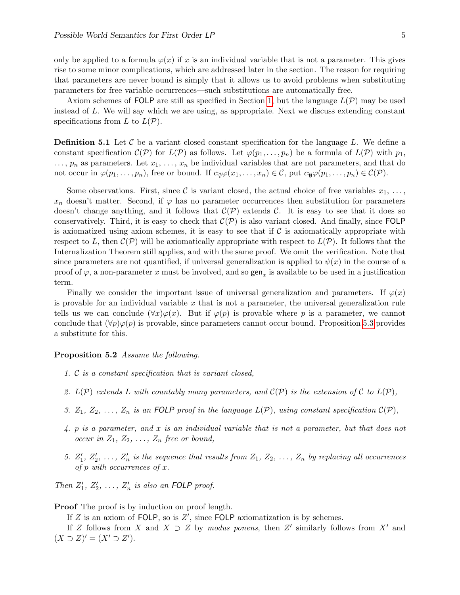only be applied to a formula  $\varphi(x)$  if x is an individual variable that is not a parameter. This gives rise to some minor complications, which are addressed later in the section. The reason for requiring that parameters are never bound is simply that it allows us to avoid problems when substituting parameters for free variable occurrences—such substitutions are automatically free.

Axiom schemes of FOLP are still as specified in Section [1,](#page-1-0) but the language  $L(\mathcal{P})$  may be used instead of L. We will say which we are using, as appropriate. Next we discuss extending constant specifications from  $L$  to  $L(\mathcal{P})$ .

**Definition 5.1** Let  $\mathcal{C}$  be a variant closed constant specification for the language L. We define a constant specification  $\mathcal{C}(\mathcal{P})$  for  $L(\mathcal{P})$  as follows. Let  $\varphi(p_1, \ldots, p_n)$  be a formula of  $L(\mathcal{P})$  with  $p_1$ ,  $\ldots$ ,  $p_n$  as parameters. Let  $x_1, \ldots, x_n$  be individual variables that are not parameters, and that do not occur in  $\varphi(p_1,\ldots,p_n)$ , free or bound. If  $c_{\varnothing}\varphi(x_1,\ldots,x_n) \in \mathcal{C}$ , put  $c_{\varnothing}\varphi(p_1,\ldots,p_n) \in \mathcal{C}(\mathcal{P})$ .

Some observations. First, since C is variant closed, the actual choice of free variables  $x_1, \ldots,$  $x_n$  doesn't matter. Second, if  $\varphi$  has no parameter occurrences then substitution for parameters doesn't change anything, and it follows that  $\mathcal{C}(\mathcal{P})$  extends  $\mathcal{C}$ . It is easy to see that it does so conservatively. Third, it is easy to check that  $\mathcal{C}(\mathcal{P})$  is also variant closed. And finally, since FOLP is axiomatized using axiom schemes, it is easy to see that if  $\mathcal C$  is axiomatically appropriate with respect to L, then  $\mathcal{C}(\mathcal{P})$  will be axiomatically appropriate with respect to  $L(\mathcal{P})$ . It follows that the Internalization Theorem still applies, and with the same proof. We omit the verification. Note that since parameters are not quantified, if universal generalization is applied to  $\psi(x)$  in the course of a proof of  $\varphi$ , a non-parameter x must be involved, and so  $\mathsf{gen}_x$  is available to be used in a justification term.

Finally we consider the important issue of universal generalization and parameters. If  $\varphi(x)$ is provable for an individual variable  $x$  that is not a parameter, the universal generalization rule tells us we can conclude  $(\forall x)\varphi(x)$ . But if  $\varphi(p)$  is provable where p is a parameter, we cannot conclude that  $(\forall p)\varphi(p)$  is provable, since parameters cannot occur bound. Proposition [5.3](#page-6-0) provides a substitute for this.

#### <span id="page-5-0"></span>Proposition 5.2 Assume the following.

- 1. C is a constant specification that is variant closed,
- 2.  $L(\mathcal{P})$  extends L with countably many parameters, and  $\mathcal{C}(\mathcal{P})$  is the extension of C to  $L(\mathcal{P})$ ,
- 3.  $Z_1, Z_2, \ldots, Z_n$  is an FOLP proof in the language  $L(\mathcal{P})$ , using constant specification  $\mathcal{C}(\mathcal{P})$ ,
- 4. p is a parameter, and x is an individual variable that is not a parameter, but that does not occur in  $Z_1, Z_2, \ldots, Z_n$  free or bound,
- 5.  $Z'_1, Z'_2, \ldots, Z'_n$  is the sequence that results from  $Z_1, Z_2, \ldots, Z_n$  by replacing all occurrences of  $p$  with occurrences of  $x$ .

Then  $Z'_1, Z'_2, \ldots, Z'_n$  is also an FOLP proof.

#### Proof The proof is by induction on proof length.

If  $Z$  is an axiom of FOLP, so is  $Z'$ , since FOLP axiomatization is by schemes.

If Z follows from X and  $X \supset Z$  by modus ponens, then Z' similarly follows from X' and  $(X \supset Z)' = (X' \supset Z').$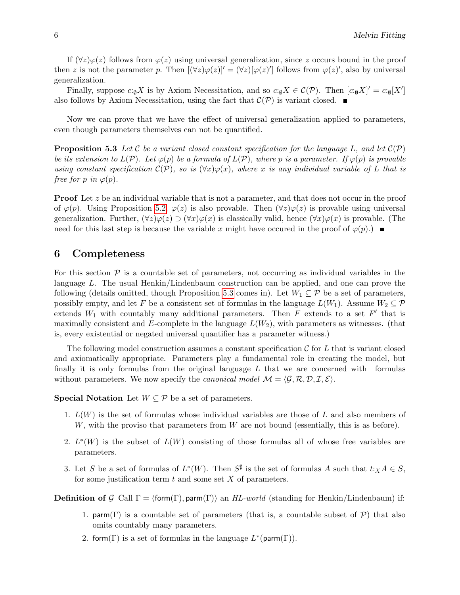If  $(\forall z)\varphi(z)$  follows from  $\varphi(z)$  using universal generalization, since z occurs bound in the proof then z is not the parameter p. Then  $[(\forall z)\varphi(z)]' = (\forall z)[\varphi(z)']$  follows from  $\varphi(z)'$ , also by universal generalization.

Finally, suppose  $c:\mathfrak{g}X$  is by Axiom Necessitation, and so  $c:\mathfrak{g}X \in \mathcal{C}(\mathcal{P})$ . Then  $[c:\mathfrak{g}X]' = c:\mathfrak{g}[X']$ also follows by Axiom Necessitation, using the fact that  $\mathcal{C}(\mathcal{P})$  is variant closed.

Now we can prove that we have the effect of universal generalization applied to parameters, even though parameters themselves can not be quantified.

<span id="page-6-0"></span>**Proposition 5.3** Let C be a variant closed constant specification for the language L, and let  $C(\mathcal{P})$ be its extension to  $L(\mathcal{P})$ . Let  $\varphi(p)$  be a formula of  $L(\mathcal{P})$ , where p is a parameter. If  $\varphi(p)$  is provable using constant specification  $\mathcal{C}(\mathcal{P})$ , so is  $(\forall x)\varphi(x)$ , where x is any individual variable of L that is free for p in  $\varphi(p)$ .

**Proof** Let z be an individual variable that is not a parameter, and that does not occur in the proof of  $\varphi(p)$ . Using Proposition [5.2,](#page-5-0)  $\varphi(z)$  is also provable. Then  $(\forall z)\varphi(z)$  is provable using universal generalization. Further,  $(\forall z)\varphi(z) \supset (\forall x)\varphi(x)$  is classically valid, hence  $(\forall x)\varphi(x)$  is provable. (The need for this last step is because the variable x might have occured in the proof of  $\varphi(p)$ .

#### 6 Completeness

For this section  $P$  is a countable set of parameters, not occurring as individual variables in the language L. The usual Henkin/Lindenbaum construction can be applied, and one can prove the following (details omitted, though Proposition [5.3](#page-6-0) comes in). Let  $W_1 \subseteq \mathcal{P}$  be a set of parameters, possibly empty, and let F be a consistent set of formulas in the language  $L(W_1)$ . Assume  $W_2 \subseteq \mathcal{P}$ extends  $W_1$  with countably many additional parameters. Then F extends to a set F' that is maximally consistent and E-complete in the language  $L(W_2)$ , with parameters as witnesses. (that is, every existential or negated universal quantifier has a parameter witness.)

The following model construction assumes a constant specification  $\mathcal C$  for  $L$  that is variant closed and axiomatically appropriate. Parameters play a fundamental role in creating the model, but finally it is only formulas from the original language  $L$  that we are concerned with—formulas without parameters. We now specify the *canonical model*  $\mathcal{M} = \langle \mathcal{G}, \mathcal{R}, \mathcal{D}, \mathcal{I}, \mathcal{E} \rangle$ .

**Special Notation** Let  $W \subseteq \mathcal{P}$  be a set of parameters.

- 1.  $L(W)$  is the set of formulas whose individual variables are those of L and also members of  $W$ , with the proviso that parameters from  $W$  are not bound (essentially, this is as before).
- 2.  $L^*(W)$  is the subset of  $L(W)$  consisting of those formulas all of whose free variables are parameters.
- 3. Let S be a set of formulas of  $L^*(W)$ . Then  $S^{\sharp}$  is the set of formulas A such that  $t: X A \in S$ , for some justification term  $t$  and some set  $X$  of parameters.

**Definition of G** Call  $\Gamma = \langle \text{form}(\Gamma) \rangle$ , parm $(\Gamma)$  an HL-world (standing for Henkin/Lindenbaum) if:

- 1. parm(Γ) is a countable set of parameters (that is, a countable subset of  $P$ ) that also omits countably many parameters.
- 2. form( $\Gamma$ ) is a set of formulas in the language  $L^*(\text{parm}(\Gamma)).$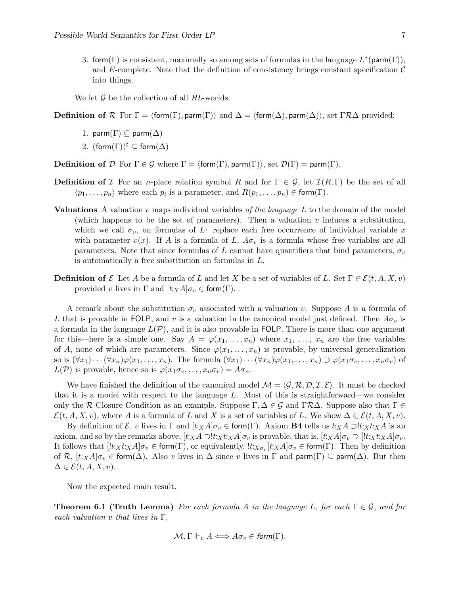3. form( $\Gamma$ ) is consistent, maximally so among sets of formulas in the language  $L^*(\text{parm}(\Gamma)),$ and E-complete. Note that the definition of consistency brings constant specification  $\mathcal C$ into things.

We let  $\mathcal G$  be the collection of all HL-worlds.

**Definition of**  $\mathcal{R}$  For  $\Gamma = \langle \text{form}(\Gamma) \rangle$ , parm $(\Gamma)$  and  $\Delta = \langle \text{form}(\Delta) \rangle$ , parm $(\Delta)$ ), set  $\Gamma \mathcal{R} \Delta$  provided:

- 1. parm( $\Gamma$ )  $\subseteq$  parm( $\Delta$ )
- 2.  $(\mathsf{form}(\Gamma))^{\sharp} \subset \mathsf{form}(\Delta)$

**Definition of** D For  $\Gamma \in \mathcal{G}$  where  $\Gamma = \langle \text{form}(\Gamma), \text{param}(\Gamma) \rangle$ , set  $\mathcal{D}(\Gamma) = \text{param}(\Gamma)$ .

- **Definition of** I For an n-place relation symbol R and for  $\Gamma \in \mathcal{G}$ , let  $\mathcal{I}(R,\Gamma)$  be the set of all  $\langle p_1, \ldots, p_n \rangle$  where each  $p_i$  is a parameter, and  $R(p_1, \ldots, p_n) \in \text{form}(\Gamma)$ .
- **Valuations** A valuation v maps individual variables of the language  $L$  to the domain of the model (which happens to be the set of parameters). Then a valuation  $v$  induces a substitution, which we call  $\sigma_v$ , on formulas of L: replace each free occurrence of individual variable x with parameter  $v(x)$ . If A is a formula of L,  $A\sigma_y$  is a formula whose free variables are all parameters. Note that since formulas of L cannot have quantifiers that bind parameters,  $\sigma_v$ is automatically a free substitution on formulas in L.
- **Definition of** E Let A be a formula of L and let X be a set of variables of L. Set  $\Gamma \in \mathcal{E}(t, A, X, v)$ provided v lives in  $\Gamma$  and  $[t:_{X}A]\sigma_{v} \in \text{form}(\Gamma)$ .

A remark about the substitution  $\sigma_v$  associated with a valuation v. Suppose A is a formula of L that is provable in FOLP, and v is a valuation in the canonical model just defined. Then  $A\sigma_v$  is a formula in the language  $L(\mathcal{P})$ , and it is also provable in FOLP. There is more than one argument for this—here is a simple one. Say  $A = \varphi(x_1, \ldots, x_n)$  where  $x_1, \ldots, x_n$  are the free variables of A, none of which are parameters. Since  $\varphi(x_1, \ldots, x_n)$  is provable, by universal generalization so is  $(\forall x_1)\cdots(\forall x_n)\varphi(x_1,\ldots,x_n)$ . The formula  $(\forall x_1)\cdots(\forall x_n)\varphi(x_1,\ldots,x_n)\supset\varphi(x_1\sigma_v,\ldots,x_n\sigma_v)$  of  $L(\mathcal{P})$  is provable, hence so is  $\varphi(x_1\sigma_v,\ldots,x_n\sigma_v)=A\sigma_v$ .

We have finished the definition of the canonical model  $\mathcal{M} = \langle \mathcal{G}, \mathcal{R}, \mathcal{D}, \mathcal{I}, \mathcal{E} \rangle$ . It must be checked that it is a model with respect to the language L. Most of this is straightforward—we consider only the R Closure Condition as an example. Suppose  $\Gamma, \Delta \in \mathcal{G}$  and  $\Gamma \mathcal{R} \Delta$ . Suppose also that  $\Gamma \in$  $\mathcal{E}(t, A, X, v)$ , where A is a formula of L and X is a set of variables of L. We show  $\Delta \in \mathcal{E}(t, A, X, v)$ .

By definition of  $\mathcal{E}, v$  lives in  $\Gamma$  and  $[t:xA]\sigma_v \in \text{form}(\Gamma)$ . Axiom **B4** tells us  $t:xA \supseteq !t:xA$  is an axiom, and so by the remarks above,  $[t:X \land \Box ! t:X \land d] \sigma_v$  is provable, that is,  $[t:X \land d] \sigma_v \Box [t:X \land t:X \land d] \sigma_v$ . It follows that  $[!t:x,t:xA]\sigma_v \in \text{form}(\Gamma)$ , or equivalently,  $!t:x_{\sigma_v}[t:xA]\sigma_v \in \text{form}(\Gamma)$ . Then by definition of R,  $[t:XA]\sigma_v \in \text{form}(\Delta)$ . Also v lives in  $\Delta$  since v lives in  $\Gamma$  and  $\text{parm}(\Gamma) \subseteq \text{parm}(\Delta)$ . But then  $\Delta \in \mathcal{E}(t, A, X, v).$ 

Now the expected main result.

**Theorem 6.1 (Truth Lemma)** For each formula A in the language L, for each  $\Gamma \in \mathcal{G}$ , and for each valuation v that lives in  $\Gamma$ ,

$$
\mathcal{M}, \Gamma \Vdash_v A \Longleftrightarrow A \sigma_v \in \mathit{form}(\Gamma).
$$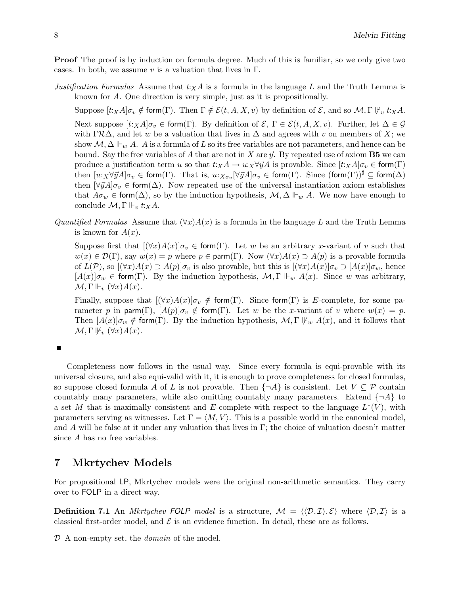**Proof** The proof is by induction on formula degree. Much of this is familiar, so we only give two cases. In both, we assume v is a valuation that lives in  $\Gamma$ .

Justification Formulas Assume that  $t:xA$  is a formula in the language L and the Truth Lemma is known for A. One direction is very simple, just as it is propositionally.

Suppose  $[t \times A] \sigma_v \notin \text{form}(\Gamma)$ . Then  $\Gamma \notin \mathcal{E}(t, A, X, v)$  by definition of  $\mathcal{E}$ , and so  $\mathcal{M}$ ,  $\Gamma \Vdash_v t \times A$ . Next suppose  $[t:_{X}A]\sigma_{v} \in \text{form}(\Gamma)$ . By definition of  $\mathcal{E}, \Gamma \in \mathcal{E}(t, A, X, v)$ . Further, let  $\Delta \in \mathcal{G}$ with  $\Gamma \mathcal{R}\Delta$ , and let w be a valuation that lives in  $\Delta$  and agrees with v on members of X; we show  $\mathcal{M}, \Delta \Vdash_w A$ . A is a formula of L so its free variables are not parameters, and hence can be bound. Say the free variables of A that are not in X are  $\vec{y}$ . By repeated use of axiom **B5** we can produce a justification term u so that  $t: X \to u: X \forall \vec{y}A$  is provable. Since  $[t: X \land \neg \sigma v \in \text{form}(\Gamma)]$ then  $[u:_{X} \forall \vec{y}A] \sigma_v \in \mathsf{form}(\Gamma)$ . That is,  $u:_{X\sigma_v}[\forall \vec{y}A] \sigma_v \in \mathsf{form}(\Gamma)$ . Since  $(\mathsf{form}(\Gamma))^\sharp \subseteq \mathsf{form}(\Delta)$ then  $[\forall \vec{y}A]\sigma_v \in \text{form}(\Delta)$ . Now repeated use of the universal instantiation axiom establishes that  $A\sigma_w \in \text{form}(\Delta)$ , so by the induction hypothesis,  $\mathcal{M}, \Delta \Vdash_w A$ . We now have enough to conclude  $\mathcal{M}, \Gamma \Vdash_v t :_X A$ .

Quantified Formulas Assume that  $(\forall x)A(x)$  is a formula in the language L and the Truth Lemma is known for  $A(x)$ .

Suppose first that  $[(\forall x)A(x)]\sigma_y \in \text{form}(\Gamma)$ . Let w be an arbitrary x-variant of v such that  $w(x) \in \mathcal{D}(\Gamma)$ , say  $w(x) = p$  where  $p \in \text{param}(\Gamma)$ . Now  $(\forall x)A(x) \supset A(p)$  is a provable formula of  $L(\mathcal{P})$ , so  $[(\forall x)A(x) \supseteq A(p)]\sigma_v$  is also provable, but this is  $[(\forall x)A(x)]\sigma_v \supseteq [A(x)]\sigma_w$ , hence  $[A(x)]\sigma_w \in \text{form}(\Gamma)$ . By the induction hypothesis,  $\mathcal{M}, \Gamma \Vdash_w A(x)$ . Since w was arbitrary,  $\mathcal{M}, \Gamma \Vdash_v (\forall x) A(x).$ 

Finally, suppose that  $[(\forall x)A(x)]\sigma_v \notin \text{form}(\Gamma)$ . Since form(Γ) is E-complete, for some parameter p in parm(Γ),  $[A(p)]\sigma_v \notin \text{form}(\Gamma)$ . Let w be the x-variant of v where  $w(x) = p$ . Then  $[A(x)]\sigma_w \notin \text{form}(\Gamma)$ . By the induction hypothesis,  $\mathcal{M}, \Gamma \nvDash_w A(x)$ , and it follows that  $\mathcal{M}, \Gamma \Vdash_{v} (\forall x) A(x).$ 

 $\blacksquare$ 

Completeness now follows in the usual way. Since every formula is equi-provable with its universal closure, and also equi-valid with it, it is enough to prove completeness for closed formulas, so suppose closed formula A of L is not provable. Then  $\{\neg A\}$  is consistent. Let  $V \subseteq \mathcal{P}$  contain countably many parameters, while also omitting countably many parameters. Extend  $\{\neg A\}$  to a set M that is maximally consistent and E-complete with respect to the language  $L^*(V)$ , with parameters serving as witnesses. Let  $\Gamma = \langle M, V \rangle$ . This is a possible world in the canonical model, and A will be false at it under any valuation that lives in Γ; the choice of valuation doesn't matter since A has no free variables.

### 7 Mkrtychev Models

For propositional LP, Mkrtychev models were the original non-arithmetic semantics. They carry over to FOLP in a direct way.

**Definition 7.1** An *Mkrtychev FOLP model* is a structure,  $M = \langle \langle \mathcal{D}, \mathcal{I} \rangle, \mathcal{E} \rangle$  where  $\langle \mathcal{D}, \mathcal{I} \rangle$  is a classical first-order model, and  $\mathcal E$  is an evidence function. In detail, these are as follows.

 $D$  A non-empty set, the *domain* of the model.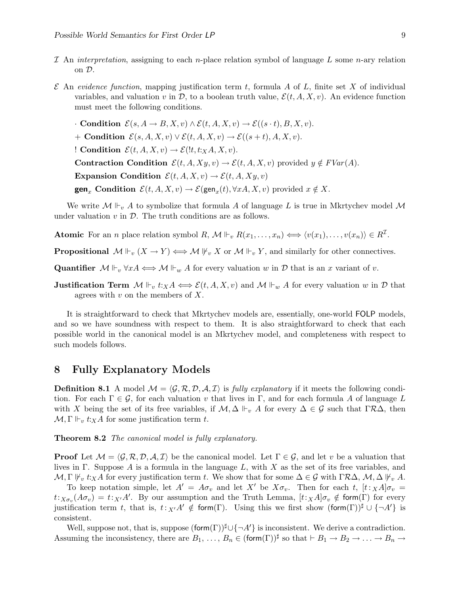- I An interpretation, assigning to each n-place relation symbol of language L some n-ary relation on D.
- $\mathcal E$  An evidence function, mapping justification term t, formula A of L, finite set X of individual variables, and valuation v in  $\mathcal{D}$ , to a boolean truth value,  $\mathcal{E}(t, A, X, v)$ . An evidence function must meet the following conditions.

 $\cdot$  Condition  $\mathcal{E}(s, A \to B, X, v) \wedge \mathcal{E}(t, A, X, v) \to \mathcal{E}((s \cdot t), B, X, v).$ + Condition  $\mathcal{E}(s, A, X, v) \vee \mathcal{E}(t, A, X, v) \rightarrow \mathcal{E}((s + t), A, X, v).$ ! Condition  $\mathcal{E}(t, A, X, v) \rightarrow \mathcal{E}(t, t; X, A, X, v)$ . Contraction Condition  $\mathcal{E}(t, A, Xy, v) \to \mathcal{E}(t, A, X, v)$  provided  $y \notin FVar(A)$ . Expansion Condition  $\mathcal{E}(t, A, X, v) \rightarrow \mathcal{E}(t, A, X, y, v)$ **gen**<sub>x</sub> Condition  $\mathcal{E}(t, A, X, v) \to \mathcal{E}(\text{gen}_x(t), \forall x A, X, v)$  provided  $x \notin X$ .

We write  $\mathcal{M} \Vdash_{v} A$  to symbolize that formula A of language L is true in Mkrtychev model  $\mathcal{M}$ under valuation  $v$  in  $\mathcal{D}$ . The truth conditions are as follows.

Atomic For an *n* place relation symbol  $R, M \Vdash_v R(x_1, \ldots, x_n) \iff \langle v(x_1), \ldots, v(x_n) \rangle \in R^{\mathcal{I}}.$ 

**Propositional**  $\mathcal{M} \Vdash_v (X \to Y) \iff \mathcal{M} \Vdash_v X$  or  $\mathcal{M} \Vdash_v Y$ , and similarly for other connectives.

Quantifier  $M \Vdash_v \forall x A \Longleftrightarrow M \Vdash_w A$  for every valuation w in  $D$  that is an x variant of v.

**Justification Term**  $\mathcal{M} \Vdash_v t: X \mathcal{A} \Longleftrightarrow \mathcal{E}(t, \mathcal{A}, X, v)$  and  $\mathcal{M} \Vdash_w \mathcal{A}$  for every valuation w in  $\mathcal{D}$  that agrees with  $v$  on the members of  $X$ .

It is straightforward to check that Mkrtychev models are, essentially, one-world FOLP models, and so we have soundness with respect to them. It is also straightforward to check that each possible world in the canonical model is an Mkrtychev model, and completeness with respect to such models follows.

#### 8 Fully Explanatory Models

**Definition 8.1** A model  $\mathcal{M} = \langle \mathcal{G}, \mathcal{R}, \mathcal{D}, \mathcal{A}, \mathcal{I} \rangle$  is fully explanatory if it meets the following condition. For each  $\Gamma \in \mathcal{G}$ , for each valuation v that lives in  $\Gamma$ , and for each formula A of language L with X being the set of its free variables, if  $M$ ,  $\Delta \Vdash_{v} A$  for every  $\Delta \in \mathcal{G}$  such that  $\Gamma \mathcal{R} \Delta$ , then  $\mathcal{M}, \Gamma \Vdash_v t: X \to A$  for some justification term t.

Theorem 8.2 The canonical model is fully explanatory.

**Proof** Let  $\mathcal{M} = \langle \mathcal{G}, \mathcal{R}, \mathcal{D}, \mathcal{A}, \mathcal{I} \rangle$  be the canonical model. Let  $\Gamma \in \mathcal{G}$ , and let v be a valuation that lives in Γ. Suppose A is a formula in the language  $L$ , with X as the set of its free variables, and  $\mathcal{M}, \Gamma \nvDash_{v} t:_{X} A$  for every justification term t. We show that for some  $\Delta \in \mathcal{G}$  with  $\Gamma \mathcal{R} \Delta, \mathcal{M}, \Delta \nvDash_{v} A$ .

To keep notation simple, let  $A' = A\sigma_v$  and let X' be  $X\sigma_v$ . Then for each t,  $[t: XA]\sigma_v =$  $t:_{X\sigma_v}(A\sigma_v) = t:_{X'}A'$ . By our assumption and the Truth Lemma,  $[t:_{X}A]\sigma_v \notin \text{form}(\Gamma)$  for every justification term t, that is,  $t:_{X'}A' \notin \text{form}(\Gamma)$ . Using this we first show  $(\text{form}(\Gamma))^{\sharp} \cup \{\neg A'\}$  is consistent.

Well, suppose not, that is, suppose  $(\text{form}(\Gamma))^{\sharp} \cup \{\neg A'\}$  is inconsistent. We derive a contradiction. Assuming the inconsistency, there are  $B_1, \ldots, B_n \in (\text{form}(\Gamma))^{\sharp}$  so that  $\vdash B_1 \to B_2 \to \ldots \to B_n \to$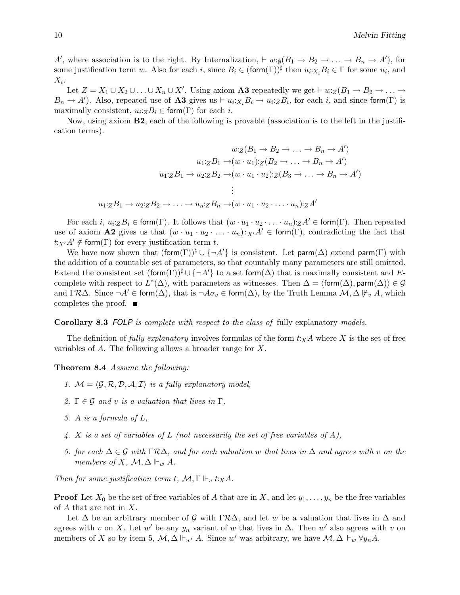A', where association is to the right. By Internalization,  $\vdash w:\mathfrak{g}(B_1 \rightarrow B_2 \rightarrow \ldots \rightarrow B_n \rightarrow A')$ , for some justification term w. Also for each i, since  $B_i \in (\text{form}(\Gamma))^{\sharp}$  then  $u_i:_{X_i} B_i \in \Gamma$  for some  $u_i$ , and  $X_i$ .

Let  $Z = X_1 \cup X_2 \cup \ldots \cup X_n \cup X'$ . Using axiom **A3** repeatedly we get  $\vdash w:Z(B_1 \rightarrow B_2 \rightarrow \ldots \rightarrow Z_n)$  $B_n \to A'$ ). Also, repeated use of **A3** gives us  $\vdash u_i : X_i B_i \to u_i : Z B_i$ , for each i, and since form( $\Gamma$ ) is maximally consistent,  $u_i:ZB_i \in \text{form}(\Gamma)$  for each *i*.

Now, using axiom B2, each of the following is provable (association is to the left in the justification terms).

$$
w:Z(B_1 \to B_2 \to \dots \to B_n \to A')
$$
  

$$
u_1:ZB_1 \to (w \cdot u_1):Z(B_2 \to \dots \to B_n \to A')
$$
  

$$
u_1:ZB_1 \to u_2:ZB_2 \to (w \cdot u_1 \cdot u_2):Z(B_3 \to \dots \to B_n \to A')
$$
  

$$
\vdots
$$
  

$$
u_1:ZB_1 \to u_2:ZB_2 \to \dots \to u_n:ZB_n \to (w \cdot u_1 \cdot u_2 \cdot \dots \cdot u_n):ZA'
$$

For each i,  $u_i z B_i \in \text{form}(\Gamma)$ . It follows that  $(w \cdot u_1 \cdot u_2 \cdot \ldots \cdot u_n) z A' \in \text{form}(\Gamma)$ . Then repeated use of axiom **A2** gives us that  $(w \cdot u_1 \cdot u_2 \cdot \ldots \cdot u_n): X \cdot A' \in \text{form}(\Gamma)$ , contradicting the fact that  $t:_{X'}A' \notin \mathsf{form}(\Gamma)$  for every justification term t.

We have now shown that  $(\text{form}(\Gamma))^{\sharp} \cup \{\neg A\}$  is consistent. Let parm $(\Delta)$  extend parm $(\Gamma)$  with the addition of a countable set of parameters, so that countably many parameters are still omitted. Extend the consistent set  $(\text{form}(\Gamma))^{\sharp} \cup \{\neg A'\}$  to a set form( $\Delta$ ) that is maximally consistent and Ecomplete with respect to  $L^*(\Delta)$ , with parameters as witnesses. Then  $\Delta = \langle \text{form}(\Delta), \text{param}(\Delta) \rangle \in \mathcal{G}$ and  $\Gamma\mathcal{R}\Delta$ . Since  $\neg A' \in \mathsf{form}(\Delta)$ , that is  $\neg A \sigma_v \in \mathsf{form}(\Delta)$ , by the Truth Lemma  $\mathcal{M}, \Delta \not\vdash_v A$ , which completes the proof.

Corollary 8.3 FOLP is complete with respect to the class of fully explanatory models.

The definition of fully explanatory involves formulas of the form  $t: X \to X$  is the set of free variables of A. The following allows a broader range for X.

Theorem 8.4 Assume the following:

- 1.  $M = \langle \mathcal{G}, \mathcal{R}, \mathcal{D}, \mathcal{A}, \mathcal{I} \rangle$  is a fully explanatory model,
- 2.  $\Gamma \in \mathcal{G}$  and v is a valuation that lives in  $\Gamma$ ,
- 3. A is a formula of L,
- 4. X is a set of variables of L (not necessarily the set of free variables of A),
- 5. for each  $\Delta \in \mathcal{G}$  with  $\Gamma \mathcal{R} \Delta$ , and for each valuation w that lives in  $\Delta$  and agrees with v on the members of X,  $\mathcal{M}, \Delta \Vdash_w A$ .

Then for some justification term t,  $\mathcal{M}, \Gamma \Vdash_v t :_X A$ .

**Proof** Let  $X_0$  be the set of free variables of A that are in X, and let  $y_1, \ldots, y_n$  be the free variables of A that are not in X.

Let  $\Delta$  be an arbitrary member of G with ΓR $\Delta$ , and let w be a valuation that lives in  $\Delta$  and agrees with v on X. Let w' be any  $y_n$  variant of w that lives in  $\Delta$ . Then w' also agrees with v on members of X so by item 5,  $\mathcal{M}, \Delta \Vdash_{w'} A$ . Since w' was arbitrary, we have  $\mathcal{M}, \Delta \Vdash_w \forall y_n A$ .